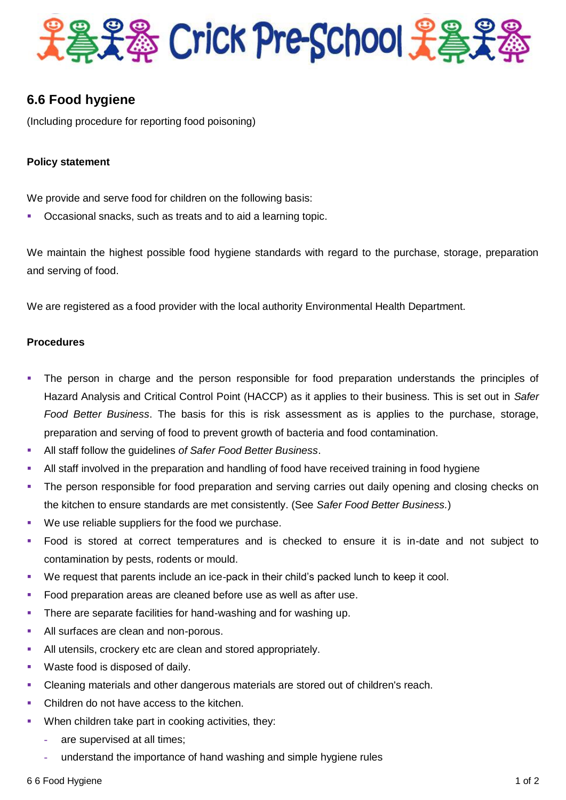

# **6.6 Food hygiene**

(Including procedure for reporting food poisoning)

## **Policy statement**

We provide and serve food for children on the following basis:

Occasional snacks, such as treats and to aid a learning topic.

We maintain the highest possible food hygiene standards with regard to the purchase, storage, preparation and serving of food.

We are registered as a food provider with the local authority Environmental Health Department.

### **Procedures**

- The person in charge and the person responsible for food preparation understands the principles of Hazard Analysis and Critical Control Point (HACCP) as it applies to their business. This is set out in *Safer Food Better Business*. The basis for this is risk assessment as is applies to the purchase, storage, preparation and serving of food to prevent growth of bacteria and food contamination.
- All staff follow the guidelines *of Safer Food Better Business*.
- All staff involved in the preparation and handling of food have received training in food hygiene
- The person responsible for food preparation and serving carries out daily opening and closing checks on the kitchen to ensure standards are met consistently. (See *Safer Food Better Business.*)
- We use reliable suppliers for the food we purchase.
- Food is stored at correct temperatures and is checked to ensure it is in-date and not subject to contamination by pests, rodents or mould.
- We request that parents include an ice-pack in their child's packed lunch to keep it cool.
- Food preparation areas are cleaned before use as well as after use.
- **There are separate facilities for hand-washing and for washing up.**
- All surfaces are clean and non-porous.
- All utensils, crockery etc are clean and stored appropriately.
- **Waste food is disposed of daily.**
- Cleaning materials and other dangerous materials are stored out of children's reach.
- Children do not have access to the kitchen.
- **When children take part in cooking activities, they:** 
	- **-** are supervised at all times;
	- **-** understand the importance of hand washing and simple hygiene rules